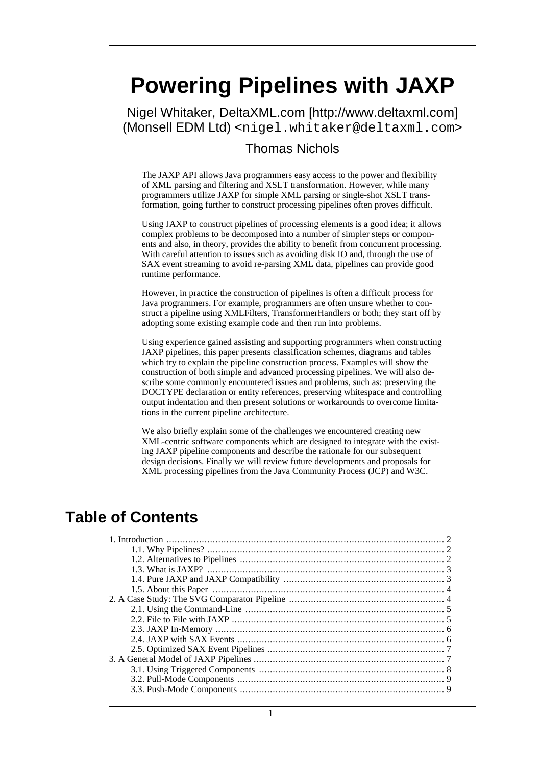# <span id="page-0-0"></span>**Powering Pipelines with JAXP**

Nigel Whitaker, [DeltaXML.com](http://www.deltaxml.com) [http://www.deltaxml.com] (Monsell EDM Ltd) <nigel.whitaker@deltaxml.com>

#### Thomas Nichols

The JAXP API allows Java programmers easy access to the power and flexibility of XML parsing and filtering and XSLT transformation. However, while many programmers utilize JAXP for simple XML parsing or single-shot XSLT transformation, going further to construct processing pipelines often proves difficult.

Using JAXP to construct pipelines of processing elements is a good idea; it allows complex problems to be decomposed into a number of simpler steps or components and also, in theory, provides the ability to benefit from concurrent processing. With careful attention to issues such as avoiding disk IO and, through the use of SAX event streaming to avoid re-parsing XML data, pipelines can provide good runtime performance.

However, in practice the construction of pipelines is often a difficult process for Java programmers. For example, programmers are often unsure whether to construct a pipeline using XMLFilters, TransformerHandlers or both; they start off by adopting some existing example code and then run into problems.

Using experience gained assisting and supporting programmers when constructing JAXP pipelines, this paper presents classification schemes, diagrams and tables which try to explain the pipeline construction process. Examples will show the construction of both simple and advanced processing pipelines. We will also describe some commonly encountered issues and problems, such as: preserving the DOCTYPE declaration or entity references, preserving whitespace and controlling output indentation and then present solutions or workarounds to overcome limitations in the current pipeline architecture.

We also briefly explain some of the challenges we encountered creating new XML-centric software components which are designed to integrate with the existing JAXP pipeline components and describe the rationale for our subsequent design decisions. Finally we will review future developments and proposals for XML processing pipelines from the Java Community Process (JCP) and W3C.

### **Table of Contents**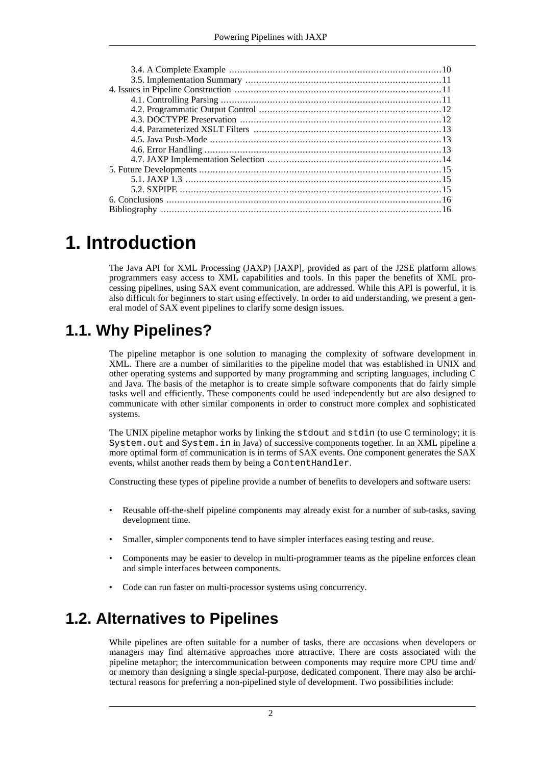## <span id="page-1-0"></span>**1. Introduction**

The Java API for XML Processing (JAXP) [[JAXP\], p](#page-16-0)rovided as part of the J2SE platform allows programmers easy access to XML capabilities and tools. In this paper the benefits of XML processing pipelines, using SAX event communication, are addressed. While this API is powerful, it is also difficult for beginners to start using effectively. In order to aid understanding, we present a general model of SAX event pipelines to clarify some design issues.

### **1.1. Why Pipelines?**

<span id="page-1-1"></span>The pipeline metaphor is one solution to managing the complexity of software development in XML. There are a number of similarities to the pipeline model that was established in UNIX and other operating systems and supported by many programming and scripting languages, including C and Java. The basis of the metaphor is to create simple software components that do fairly simple tasks well and efficiently. These components could be used independently but are also designed to communicate with other similar components in order to construct more complex and sophisticated systems.

The UNIX pipeline metaphor works by linking the stdout and stdin (to use C terminology; it is System.out and System.in in Java) of successive components together. In an XML pipeline a more optimal form of communication is in terms of SAX events. One component generates the SAX events, whilst another reads them by being a ContentHandler.

Constructing these types of pipeline provide a number of benefits to developers and software users:

- Reusable off-the-shelf pipeline components may already exist for a number of sub-tasks, saving development time.
- Smaller, simpler components tend to have simpler interfaces easing testing and reuse.
- Components may be easier to develop in multi-programmer teams as the pipeline enforces clean and simple interfaces between components.
- <span id="page-1-2"></span>• Code can run faster on multi-processor systems using concurrency.

### **1.2. Alternatives to Pipelines**

While pipelines are often suitable for a number of tasks, there are occasions when developers or managers may find alternative approaches more attractive. There are costs associated with the pipeline metaphor; the intercommunication between components may require more CPU time and/ or memory than designing a single special-purpose, dedicated component. There may also be architectural reasons for preferring a non-pipelined style of development. Two possibilities include: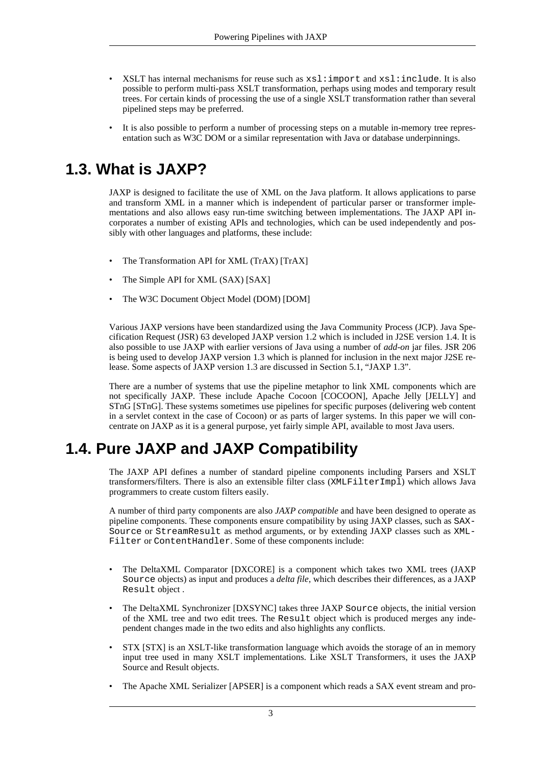- XSLT has internal mechanisms for reuse such as  $xsl:import$  and  $xsl:include$ . It is also possible to perform multi-pass XSLT transformation, perhaps using modes and temporary result trees. For certain kinds of processing the use of a single XSLT transformation rather than several pipelined steps may be preferred.
- <span id="page-2-0"></span>It is also possible to perform a number of processing steps on a mutable in-memory tree representation such as W3C DOM or a similar representation with Java or database underpinnings.

### **1.3. What is JAXP?**

JAXP is designed to facilitate the use of XML on the Java platform. It allows applications to parse and transform XML in a manner which is independent of particular parser or transformer implementations and also allows easy run-time switching between implementations. The JAXP API incorporates a number of existing APIs and technologies, which can be used independently and possibly with other languages and platforms, these include:

- The Transformation API for XML (TrAX) [\[TrAX\]](#page-16-1)
- The Simple API for XML (SAX) [\[SAX\]](#page-16-2)
- The W3C Document Object Model (DOM) [\[DOM\]](#page-15-2)

Various JAXP versions have been standardized using the Java Community Process (JCP). Java Specification Request (JSR) 63 developed JAXP version 1.2 which is included in J2SE version 1.4. It is also possible to use JAXP with earlier versions of Java using a number of *add-on* jar files. JSR 206 is being used to develop JAXP version 1.3 which is planned for inclusion in the next major J2SE release. Some aspects of JAXP version 1.3 are discussed in [Section 5.1, "JAXP 1.3"](#page-14-1).

There are a number of systems that use the pipeline metaphor to link XML components which are not specifically JAXP. These include Apache Cocoon [C[OCOON\], Ap](#page-15-3)ache Jelly [JEL[LY\] and](#page-16-3) STnG [\[STnG\].](#page-16-4) These systems sometimes use pipelines for specific purposes (delivering web content in a servlet context in the case of Cocoon) or as parts of larger systems. In this paper we will concentrate on JAXP as it is a general purpose, yet fairly simple API, available to most Java users.

### **1.4. Pure JAXP and JAXP Compatibility**

<span id="page-2-1"></span>The JAXP API defines a number of standard pipeline components including Parsers and XSLT transformers/filters. There is also an extensible filter class (XMLFilterImpl) which allows Java programmers to create custom filters easily.

A number of third party components are also *JAXP compatible* and have been designed to operate as pipeline components. These components ensure compatibility by using JAXP classes, such as SAX-Source or StreamResult as method arguments, or by extending JAXP classes such as XML-Filter or ContentHandler. Some of these components include:

- The DeltaXML Comparator [[DXCORE\] i](#page-15-4)s a component which takes two XML trees (JAXP Source objects) as input and produces a *delta file*, which describes their differences, as a JAXP Result object .
- The DeltaXML Synchronizer [\[DXSYNC\]](#page-16-5) takes three JAXP Source objects, the initial version of the XML tree and two edit trees. The Result object which is produced merges any independent changes made in the two edits and also highlights any conflicts.
- STX [\[STX\]](#page-16-6) is an XSLT-like transformation language which avoids the storage of an in memory input tree used in many XSLT implementations. Like XSLT Transformers, it uses the JAXP Source and Result objects.
- The Apache XML Serializer [\[APSER\]](#page-15-5) is a component which reads a SAX event stream and pro-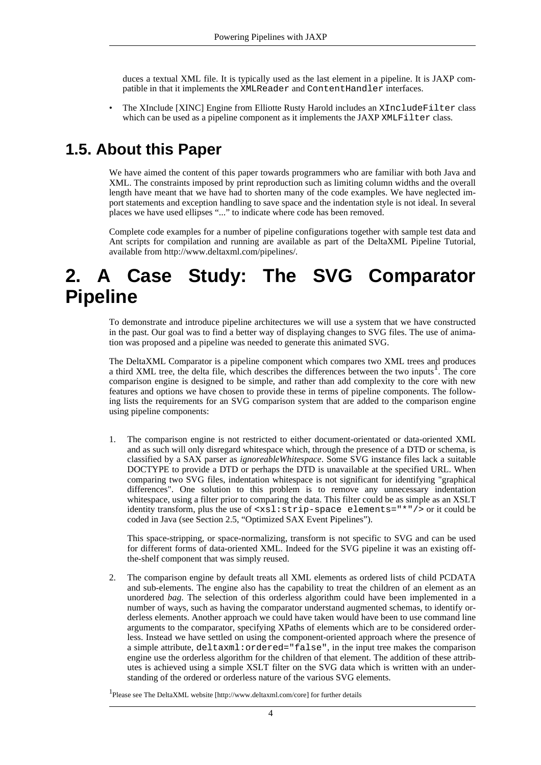duces a textual XML file. It is typically used as the last element in a pipeline. It is JAXP compatible in that it implements the XMLReader and ContentHandler interfaces.

<span id="page-3-0"></span>• The XInclude [\[XINC\]](#page-16-7) Engine from Elliotte Rusty Harold includes an XIncludeFilter class which can be used as a pipeline component as it implements the JAXP XMLFilter class.

### **1.5. About this Paper**

We have aimed the content of this paper towards programmers who are familiar with both Java and XML. The constraints imposed by print reproduction such as limiting column widths and the overall length have meant that we have had to shorten many of the code examples. We have neglected import statements and exception handling to save space and the indentation style is not ideal. In several places we have used ellipses "..." to indicate where code has been removed.

<span id="page-3-1"></span>Complete code examples for a number of pipeline configurations together with sample test data and Ant scripts for compilation and running are available as part of the DeltaXML Pipeline Tutorial, available from [http://www.deltaxml.com/pipelines/.](http://www.deltaxml.com/pipelines/)

## **2. A Case Study: The SVG Comparator Pipeline**

To demonstrate and introduce pipeline architectures we will use a system that we have constructed in the past. Our goal was to find a better way of displaying changes to SVG files. The use of animation was proposed and a pipeline was needed to generate this animated SVG.

The DeltaXML Comparator is a pipeline component which compares two XML trees and produces a third XML tree, the delta file, which describes the differences between the two inputs<sup>1</sup>. The core comparison engine is designed to be simple, and rather than add complexity to the core with new features and options we have chosen to provide these in terms of pipeline components. The following lists the requirements for an SVG comparison system that are added to the comparison engine using pipeline components:

1. The comparison engine is not restricted to either document-orientated or data-oriented XML and as such will only disregard whitespace which, through the presence of a DTD or schema, is classified by a SAX parser as *ignoreableWhitespace*. Some SVG instance files lack a suitable DOCTYPE to provide a DTD or perhaps the DTD is unavailable at the specified URL. When comparing two SVG files, indentation whitespace is not significant for identifying "graphical differences". One solution to this problem is to remove any unnecessary indentation whitespace, using a filter prior to comparing the data. This filter could be as simple as an XSLT identity transform, plus the use of  $\langle x \sinh^{-1} x \sinh^{-1} x \rangle = \text{d}x$  and  $\sinh^{-1} x$  or it could be coded in Java (see [Section 2.5, "Optimized SAX Event Pipelines"](#page-6-0)).

This space-stripping, or space-normalizing, transform is not specific to SVG and can be used for different forms of data-oriented XML. Indeed for the SVG pipeline it was an existing offthe-shelf component that was simply reused.

2. The comparison engine by default treats all XML elements as ordered lists of child PCDATA and sub-elements. The engine also has the capability to treat the children of an element as an unordered *bag*. The selection of this orderless algorithm could have been implemented in a number of ways, such as having the comparator understand augmented schemas, to identify orderless elements. Another approach we could have taken would have been to use command line arguments to the comparator, specifying XPaths of elements which are to be considered orderless. Instead we have settled on using the component-oriented approach where the presence of a simple attribute, deltaxml:ordered="false", in the input tree makes the comparison engine use the orderless algorithm for the children of that element. The addition of these attributes is achieved using a simple XSLT filter on the SVG data which is written with an understanding of the ordered or orderless nature of the various SVG elements.

1 Please see The DeltaXML website [http://www.deltaxml.com/core] for further details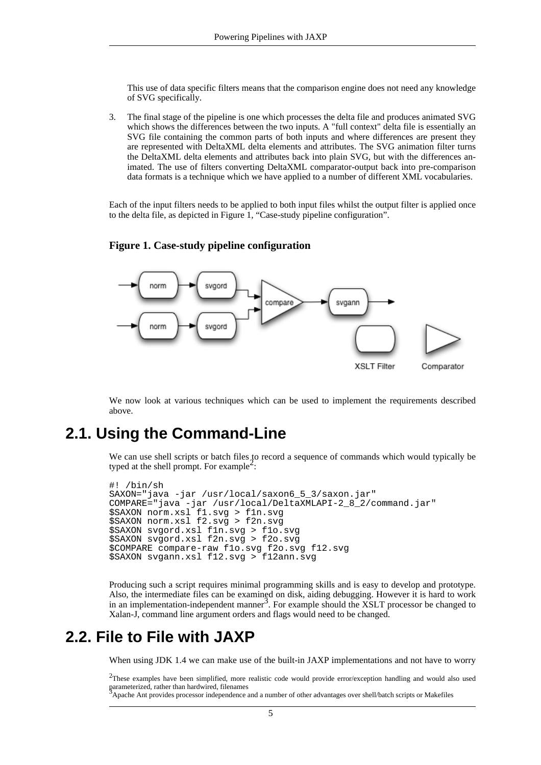This use of data specific filters means that the comparison engine does not need any knowledge of SVG specifically.

3. The final stage of the pipeline is one which processes the delta file and produces animated SVG which shows the differences between the two inputs. A "full context" delta file is essentially an SVG file containing the common parts of both inputs and where differences are present they are represented with DeltaXML delta elements and attributes. The SVG animation filter turns the DeltaXML delta elements and attributes back into plain SVG, but with the differences animated. The use of filters converting DeltaXML comparator-output back into pre-comparison data formats is a technique which we have applied to a number of different XML vocabularies.

Each of the input filters needs to be applied to both input files whilst the output filter is applied once to the delta file, as depicted in [Figure 1, "Case-study pipeline configuration".](#page-4-2)



<span id="page-4-2"></span>**Figure 1. Case-study pipeline configuration**

<span id="page-4-0"></span>We now look at various techniques which can be used to implement the requirements described above.

### **2.1. Using the Command-Line**

We can use shell scripts or batch files to record a sequence of commands which would typically be typed at the shell prompt. For example<sup>2</sup>:

```
#! /bin/sh
SAXON="java -jar /usr/local/saxon6_5_3/saxon.jar"
COMPARE="java -jar /usr/local/DeltaXMLAPI-2_8_2/command.jar"
$SAXON norm.xsl f1.svg > f1n.svg
$SAXON norm.xsl f2.svg > f2n.svg
$SAXON svgord.xsl f1n.svg > f1o.svg
$SAXON svgord.xsl f2n.svg > f2o.svg
$COMPARE compare-raw f1o.svg f2o.svg f12.svg
$SAXON svgann.xsl f12.svg > f12ann.svg
```
<span id="page-4-1"></span>Producing such a script requires minimal programming skills and is easy to develop and prototype. Also, the intermediate files can be examined on disk, aiding debugging. However it is hard to work in an implementation-independent manner<sup>3</sup>. For example should the XSLT processor be changed to Xalan-J, command line argument orders and flags would need to be changed.

### **2.2. File to File with JAXP**

When using JDK 1.4 we can make use of the built-in JAXP implementations and not have to worry

 $2$ These examples have been simplified, more realistic code would provide error/exception handling and would also used parameterized, rather than hardwired, filenames <sup>3</sup>Apache Ant provides processor independence and a number of other advantages over shell/batch scripts or Makefiles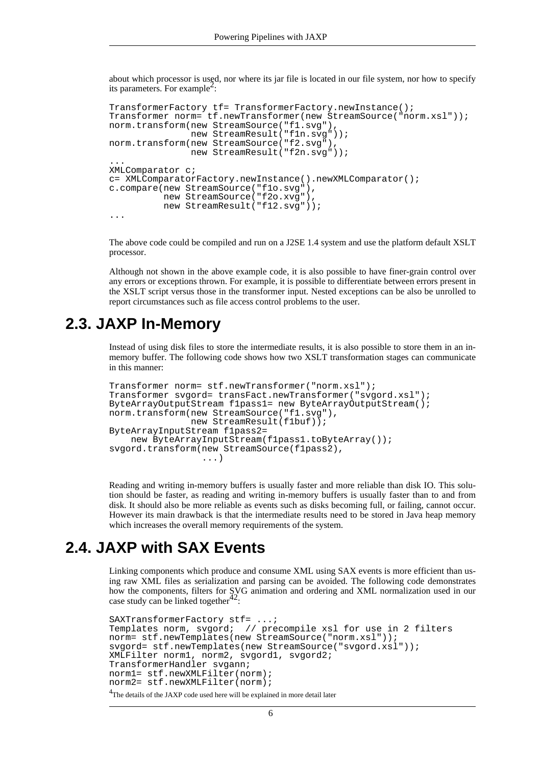about which processor is used, nor where its jar file is located in our file system, nor how to specify its parameters. For example<sup>2</sup>:

```
TransformerFactory tf= TransformerFactory.newInstance();
Transformer norm= tf.newTransformer(new StreamSource("norm.xsl"));
norm.transform(new StreamSource("f1.svg"),
               new StreamResult("f1n.svg"));
norm.transform(new StreamSource("f2.svg"),
               new StreamResult("f2n.svg"));
...
XMLComparator c;
c= XMLComparatorFactory.newInstance().newXMLComparator();
c.compare(new StreamSource("f1o.svg"),
          new StreamSource("f2o.xvg"),
          new StreamResult("f12.svg"));
...
```
The above code could be compiled and run on a J2SE 1.4 system and use the platform default XSLT processor.

<span id="page-5-0"></span>Although not shown in the above example code, it is also possible to have finer-grain control over any errors or exceptions thrown. For example, it is possible to differentiate between errors present in the XSLT script versus those in the transformer input. Nested exceptions can be also be unrolled to report circumstances such as file access control problems to the user.

### **2.3. JAXP In-Memory**

Instead of using disk files to store the intermediate results, it is also possible to store them in an inmemory buffer. The following code shows how two XSLT transformation stages can communicate in this manner:

```
Transformer norm= stf.newTransformer("norm.xsl");
Transformer svgord= transFact.newTransformer("svgord.xsl");
ByteArrayOutputStream f1pass1= new ByteArrayOutputStream();
norm.transform(new StreamSource("f1.svg"),
               new StreamResult(f1buf));
ByteArrayInputStream f1pass2=
   new ByteArrayInputStream(f1pass1.toByteArray());
svgord.transform(new StreamSource(f1pass2),
                 ...)
```
Reading and writing in-memory buffers is usually faster and more reliable than disk IO. This solution should be faster, as reading and writing in-memory buffers is usually faster than to and from disk. It should also be more reliable as events such as disks becoming full, or failing, cannot occur. However its main drawback is that the intermediate results need to be stored in Java heap memory which increases the overall memory requirements of the system.

### **2.4. JAXP with SAX Events**

<span id="page-5-1"></span>Linking components which produce and consume XML using SAX events is more efficient than using raw XML files as serialization and parsing can be avoided. The following code demonstrates how the components, filters for SVG animation and ordering and XML normalization used in our case study can be linked together $42$ :

```
<sup>4</sup>The details of the JAXP code used here will be explained in more detail later
SAXTransformerFactory stf= ...;
Templates norm, svgord; // precompile xsl for use in 2 filters
norm= stf.newTemplates(new StreamSource("norm.xsl"));
svgord= stf.newTemplates(new StreamSource("svgord.xsl"));
XMLFilter norm1, norm2, svgord1, svgord2;
TransformerHandler svgann;
norm1= stf.newXMLFilter(norm);
norm2= stf.newXMLFilter(norm);
```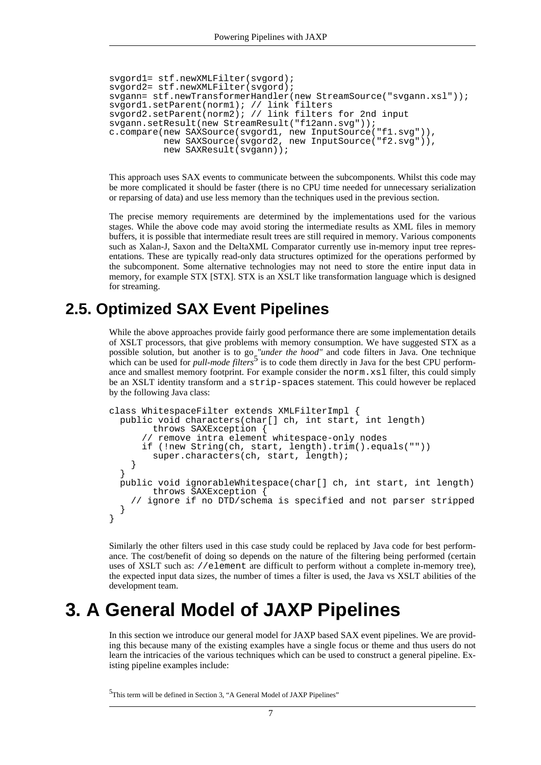```
svgord1= stf.newXMLFilter(svgord);
svgord2= stf.newXMLFilter(svgord);
svgann= stf.newTransformerHandler(new StreamSource("svgann.xsl"));
svgord1.setParent(norm1); // link filters
svgord2.setParent(norm2); // link filters for 2nd input
svgann.setResult(new StreamResult("f12ann.svg"));
c.compare(new SAXSource(svgord1, new InputSource("f1.svg")),
          new SAXSource(svgord2, new InputSource("f2.svg")),
          new SAXResult(svgann));
```
This approach uses SAX events to communicate between the subcomponents. Whilst this code may be more complicated it should be faster (there is no CPU time needed for unnecessary serialization or reparsing of data) and use less memory than the techniques used in the previous section.

The precise memory requirements are determined by the implementations used for the various stages. While the above code may avoid storing the intermediate results as XML files in memory buffers, it is possible that intermediate result trees are still required in memory. Various components such as Xalan-J, Saxon and the DeltaXML Comparator currently use in-memory input tree representations. These are typically read-only data structures optimized for the operations performed by the subcomponent. Some alternative technologies may not need to store the entire input data in memory, for example STX [\[STX\].](#page-16-6) STX is an XSLT like transformation language which is designed for streaming.

### **2.5. Optimized SAX Event Pipelines**

<span id="page-6-0"></span>While the above approaches provide fairly good performance there are some implementation details of XSLT processors, that give problems with memory consumption. We have suggested STX as a possible solution, but another is to go *"under the hood"* and code filters in Java. One technique which can be used for *pull-mode filters*<sup>5</sup> is to code them directly in Java for the best CPU performance and smallest memory footprint. For example consider the norm.xsl filter, this could simply be an XSLT identity transform and a strip-spaces statement. This could however be replaced by the following Java class:

```
class WhitespaceFilter extends XMLFilterImpl {
  public void characters(char[] ch, int start, int length)
        throws SAXException {
        remove intra element whitespace-only nodes
      if (!new String(ch, start, length).trim().equals(""))
        super.characters(ch, start, length);
    }
  }
  public void ignorableWhitespace(char[] ch, int start, int length)
        throws SAXException {
    // ignore if no DTD/schema is specified and not parser stripped
  }
}
```
Similarly the other filters used in this case study could be replaced by Java code for best performance. The cost/benefit of doing so depends on the nature of the filtering being performed (certain uses of XSLT such as: //element are difficult to perform without a complete in-memory tree), the expected input data sizes, the number of times a filter is used, the Java vs XSLT abilities of the development team.

## <span id="page-6-1"></span>**3. A General Model of JAXP Pipelines**

In this section we introduce our general model for JAXP based SAX event pipelines. We are providing this because many of the existing examples have a single focus or theme and thus users do not learn the intricacies of the various techniques which can be used to construct a general pipeline. Existing pipeline examples include:

<sup>5</sup>This term will be defined in Section 3, "A General Model of JAXP Pipelines"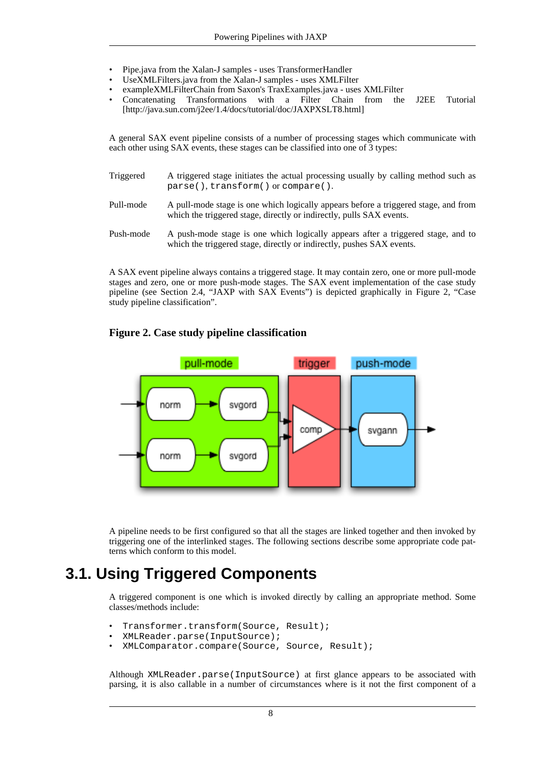- Pipe.java from the Xalan-J samples uses TransformerHandler
- UseXMLFilters.java from the Xalan-J samples uses XMLFilter
- exampleXMLFilterChain from Saxon's TraxExamples.java uses XMLFilter
- Concatenating Transformations with a Filter Chain from the J2EE Tutorial [http://java.sun.com/j2ee/1.4/docs/tutorial/doc/JAXPXSLT8.html]

A general SAX event pipeline consists of a number of processing stages which communicate with each other using SAX events, these stages can be classified into one of 3 types:

- Triggered A triggered stage initiates the actual processing usually by calling method such as parse(), transform() or compare().
- Pull-mode A pull-mode stage is one which logically appears before a triggered stage, and from which the triggered stage, directly or indirectly, pulls SAX events.
- Push-mode A push-mode stage is one which logically appears after a triggered stage, and to which the triggered stage, directly or indirectly, pushes SAX events.

A SAX event pipeline always contains a triggered stage. It may contain zero, one or more pull-mode stages and zero, one or more push-mode stages. The SAX event implementation of the case study pipeline (see [Section 2.4, "JAXP with SAX Events](#page-5-1)") is depicted graphically in Figu[re 2, "Case](#page-7-1) [study pipeline classification"](#page-7-1).

#### <span id="page-7-1"></span>**Figure 2. Case study pipeline classification**



<span id="page-7-0"></span>A pipeline needs to be first configured so that all the stages are linked together and then invoked by triggering one of the interlinked stages. The following sections describe some appropriate code patterns which conform to this model.

### **3.1. Using Triggered Components**

A triggered component is one which is invoked directly by calling an appropriate method. Some classes/methods include:

- Transformer.transform(Source, Result);
- XMLReader.parse(InputSource);
- XMLComparator.compare(Source, Source, Result);

Although XMLReader.parse(InputSource) at first glance appears to be associated with parsing, it is also callable in a number of circumstances where is it not the first component of a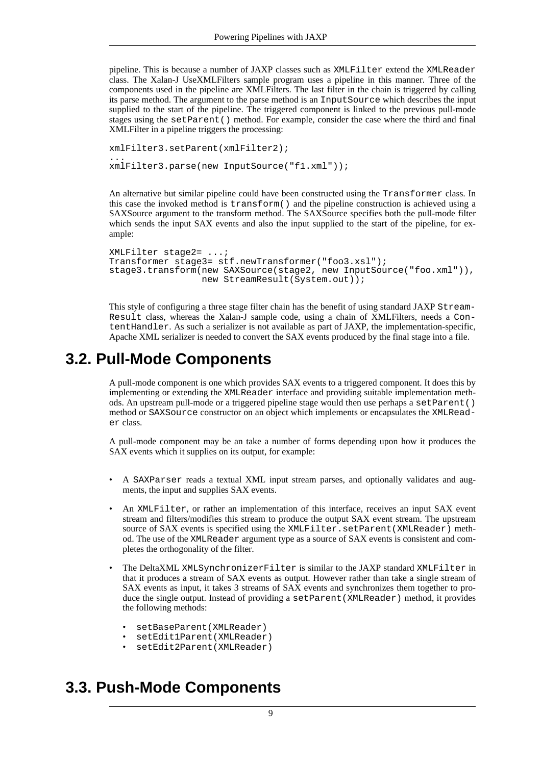pipeline. This is because a number of JAXP classes such as XMLFilter extend the XMLReader class. The Xalan-J UseXMLFilters sample program uses a pipeline in this manner. Three of the components used in the pipeline are XMLFilters. The last filter in the chain is triggered by calling its parse method. The argument to the parse method is an InputSource which describes the input supplied to the start of the pipeline. The triggered component is linked to the previous pull-mode stages using the setParent() method. For example, consider the case where the third and final XMLFilter in a pipeline triggers the processing:

```
xmlFilter3.setParent(xmlFilter2);
...
xmlFilter3.parse(new InputSource("f1.xml"));
```
An alternative but similar pipeline could have been constructed using the Transformer class. In this case the invoked method is transform() and the pipeline construction is achieved using a SAXSource argument to the transform method. The SAXSource specifies both the pull-mode filter which sends the input SAX events and also the input supplied to the start of the pipeline, for example:

```
XMLFilter stage2= ...;
Transformer stage3= stf.newTransformer("foo3.xsl");
stage3.transform(new SAXSource(stage2, new InputSource("foo.xml")),
                 new StreamResult(System.out));
```
<span id="page-8-0"></span>This style of configuring a three stage filter chain has the benefit of using standard JAXP Stream-Result class, whereas the Xalan-J sample code, using a chain of XMLFilters, needs a ContentHandler. As such a serializer is not available as part of JAXP, the implementation-specific, Apache XML serializer is needed to convert the SAX events produced by the final stage into a file.

### **3.2. Pull-Mode Components**

A pull-mode component is one which provides SAX events to a triggered component. It does this by implementing or extending the XMLReader interface and providing suitable implementation methods. An upstream pull-mode or a triggered pipeline stage would then use perhaps a setParent() method or SAXSource constructor on an object which implements or encapsulates the XMLReader class.

A pull-mode component may be an take a number of forms depending upon how it produces the SAX events which it supplies on its output, for example:

- A SAXParser reads a textual XML input stream parses, and optionally validates and augments, the input and supplies SAX events.
- An XMLFilter, or rather an implementation of this interface, receives an input SAX event stream and filters/modifies this stream to produce the output SAX event stream. The upstream source of SAX events is specified using the XMLFilter.setParent(XMLReader) method. The use of the XMLReader argument type as a source of SAX events is consistent and completes the orthogonality of the filter.
- The DeltaXML XMLSynchronizerFilter is similar to the JAXP standard XMLFilter in that it produces a stream of SAX events as output. However rather than take a single stream of SAX events as input, it takes 3 streams of SAX events and synchronizes them together to produce the single output. Instead of providing a setParent(XMLReader) method, it provides the following methods:
	- setBaseParent(XMLReader)
	- setEdit1Parent(XMLReader)
	- setEdit2Parent(XMLReader)

### <span id="page-8-1"></span>**3.3. Push-Mode Components**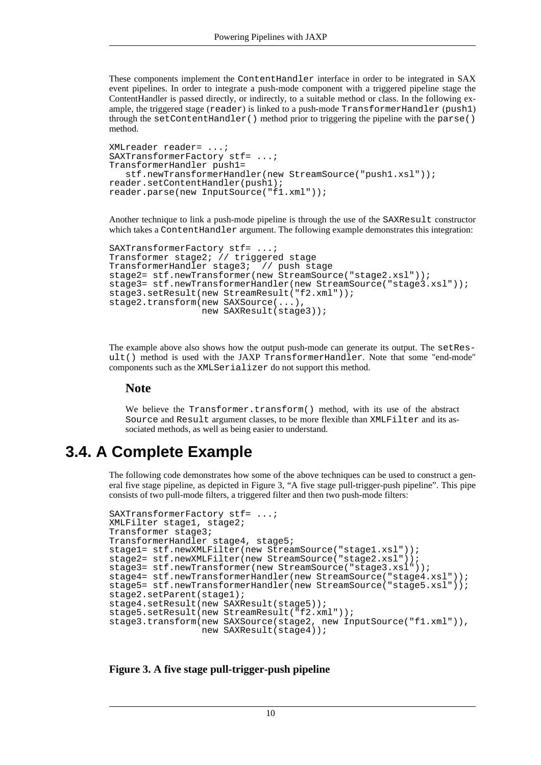These components implement the ContentHandler interface in order to be integrated in SAX event pipelines. In order to integrate a push-mode component with a triggered pipeline stage the ContentHandler is passed directly, or indirectly, to a suitable method or class. In the following example, the triggered stage (reader) is linked to a push-mode TransformerHandler (push1) through the setContentHandler() method prior to triggering the pipeline with the parse() method.

```
XMLreader reader= ...;
SAXTransformerFactory stf= ...;
TransformerHandler push1=
   stf.newTransformerHandler(new StreamSource("push1.xsl"));
reader.setContentHandler(push1);
reader.parse(new InputSource("f1.xml"));
```
Another technique to link a push-mode pipeline is through the use of the SAXResult constructor which takes a ContentHandler argument. The following example demonstrates this integration:

```
SAXTransformerFactory stf= ...;
Transformer stage2; // triggered stage
TransformerHandler stage3; // push stage
stage2= stf.newTransformer(new StreamSource("stage2.xsl"));
stage3= stf.newTransformerHandler(new StreamSource("stage3.xsl"));
stage3.setResult(new StreamResult("f2.xml"));
stage2.transform(new SAXSource(...),
                 new SAXResult(stage3));
```
The example above also shows how the output push-mode can generate its output. The setResult() method is used with the JAXP TransformerHandler. Note that some "end-mode" components such as the XMLSerializer do not support this method.

#### **Note**

<span id="page-9-0"></span>We believe the Transformer.transform() method, with its use of the abstract Source and Result argument classes, to be more flexible than XMLFilter and its associated methods, as well as being easier to understand.

### **3.4. A Complete Example**

The following code demonstrates how some of the above techniques can be used to construct a general five stage pipeline, as depicted in [Figure 3, "A five stage pull-trigger-push pipeline".](#page-9-1) This pipe consists of two pull-mode filters, a triggered filter and then two push-mode filters:

```
SAXTransformerFactory stf= ...;
XMLFilter stage1, stage2;
Transformer stage3;
TransformerHandler stage4, stage5;
stage1= stf.newXMLFilter(new StreamSource("stage1.xsl"));
stage2= stf.newXMLFilter(new StreamSource("stage2.xsl"));
stage3= stf.newTransformer(new StreamSource("stage3.xsl"));
stage4= stf.newTransformerHandler(new StreamSource("stage4.xsl"));
stage5= stf.newTransformerHandler(new StreamSource("stage5.xsl"));
stage2.setParent(stage1);
stage4.setResult(new SAXResult(stage5));
stage5.setResult(new StreamResult("f2.xml"));
stage3.transform(new SAXSource(stage2, new InputSource("f1.xml")),
                 new SAXResult(stage4));
```
<span id="page-9-1"></span>**Figure 3. A five stage pull-trigger-push pipeline**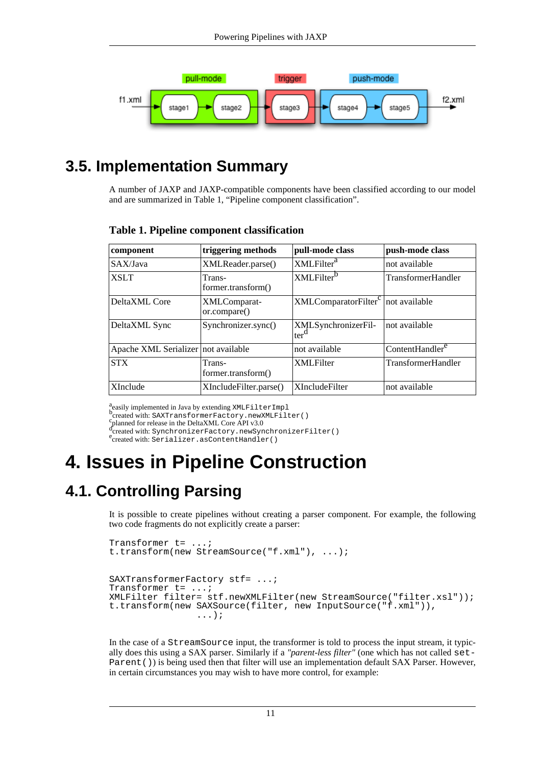

## **3.5. Implementation Summary**

<span id="page-10-0"></span>A number of JAXP and JAXP-compatible components have been classified according to our model and are summarized in [Table 1, "Pipeline component classification"](#page-10-3).

| component                           | triggering methods           | pull-mode class                                | push-mode class             |
|-------------------------------------|------------------------------|------------------------------------------------|-----------------------------|
| SAX/Java                            | XMLReader.parse()            | XMLFilter <sup>a</sup>                         | not available               |
| <b>XSLT</b>                         | Trans-<br>former.transform() | XMLFilter <sup>b</sup>                         | <b>TransformerHandler</b>   |
| DeltaXML Core                       | XMLComparat-<br>or.compare() | XMLComparatorFilter <sup>c</sup> not available |                             |
| DeltaXML Sync                       | Synchronizer.sync()          | XMLSynchronizerFil-<br>ter <sup>d</sup>        | not available               |
| Apache XML Serializer not available |                              | not available                                  | ContentHandler <sup>e</sup> |
| <b>STX</b>                          | Trans-<br>former.transform() | <b>XMLFilter</b>                               | <b>TransformerHandler</b>   |
| <b>XInclude</b>                     | XIncludeFilter.parse()       | <b>XIncludeFilter</b>                          | not available               |

#### <span id="page-10-3"></span>**Table 1. Pipeline component classification**

a<br>bcreated with: SAXTransformerFactory.newXMLFilter()<br>created with: SAXTransformerFactory.newXMLFilter()

<span id="page-10-1"></span>

construction for release in the DeltaXML Core API v3.0<br>Cplanned for release in the DeltaXML Core API v3.0<br>dereated with: SynchronizerFactory.newSynchronizerFilter() ertated with: Sprofit character as Content Handler()

## **4. Issues in Pipeline Construction**

## **4.1. Controlling Parsing**

<span id="page-10-2"></span>It is possible to create pipelines without creating a parser component. For example, the following two code fragments do not explicitly create a parser:

```
Transformer t= ...;
t.transform(new StreamSource("f.xml"), ...);
SAXTransformerFactory stf= ...;
Transformer t= ...;
XMLFilter filter= stf.newXMLFilter(new StreamSource("filter.xsl"));
t.transform(new SAXSource(filter, new InputSource("f.xml")),
                ...);
```
In the case of a StreamSource input, the transformer is told to process the input stream, it typically does this using a SAX parser. Similarly if a *"parent-less filter"* (one which has not called set-Parent ()) is being used then that filter will use an implementation default SAX Parser. However, in certain circumstances you may wish to have more control, for example: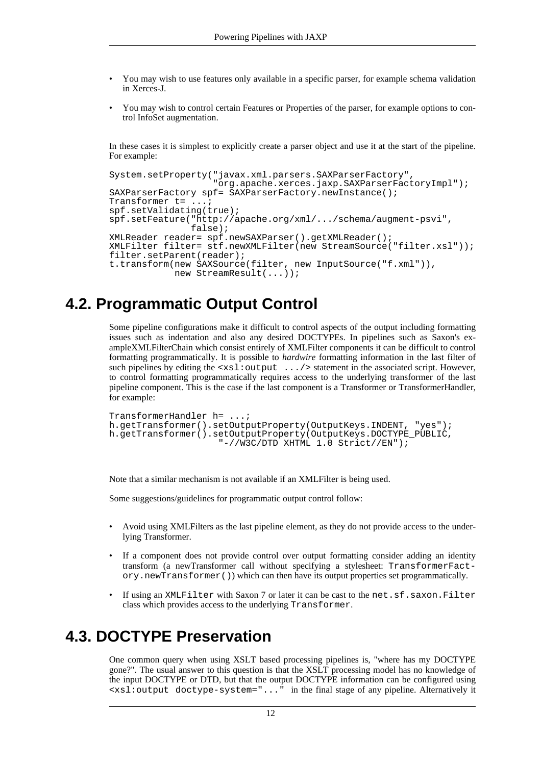- You may wish to use features only available in a specific parser, for example schema validation in Xerces-J.
- You may wish to control certain Features or Properties of the parser, for example options to control InfoSet augmentation.

In these cases it is simplest to explicitly create a parser object and use it at the start of the pipeline. For example:

```
System.setProperty("javax.xml.parsers.SAXParserFactory",
                    "org.apache.xerces.jaxp.SAXParserFactoryImpl");
SAXParserFactory spf= SAXParserFactory.newInstance();
Transformer t= ...;
spf.setValidating(true);
spf.setFeature("http://apache.org/xml/.../schema/augment-psvi",
               false);
XMLReader reader= spf.newSAXParser().getXMLReader();
XMLFilter filter= stf.newXMLFilter(new StreamSource("filter.xsl"));
filter.setParent(reader);
t.transform(new SAXSource(filter, new InputSource("f.xml")),
            new StreamResult(...));
```
### **4.2. Programmatic Output Control**

<span id="page-11-0"></span>Some pipeline configurations make it difficult to control aspects of the output including formatting issues such as indentation and also any desired DOCTYPEs. In pipelines such as Saxon's exampleXMLFilterChain which consist entirely of XMLFilter components it can be difficult to control formatting programmatically. It is possible to *hardwire* formatting information in the last filter of such pipelines by editing the <xsl:output .../> statement in the associated script. However, to control formatting programmatically requires access to the underlying transformer of the last pipeline component. This is the case if the last component is a Transformer or TransformerHandler, for example:

```
TransformerHandler h= ...;
h.getTransformer().setOutputProperty(OutputKeys.INDENT, "yes");
h.getTransformer().setOutputProperty(OutputKeys.DOCTYPE_PUBLIC,
                    "-//W3C/DTD XHTML 1.0 Strict//EN");
```
Note that a similar mechanism is not available if an XMLFilter is being used.

Some suggestions/guidelines for programmatic output control follow:

- Avoid using XMLFilters as the last pipeline element, as they do not provide access to the underlying Transformer.
- If a component does not provide control over output formatting consider adding an identity transform (a newTransformer call without specifying a stylesheet: TransformerFactory.newTransformer()) which can then have its output properties set programmatically.
- <span id="page-11-1"></span>• If using an XMLFilter with Saxon 7 or later it can be cast to the net.sf.saxon.Filter class which provides access to the underlying Transformer.

### **4.3. DOCTYPE Preservation**

One common query when using XSLT based processing pipelines is, "where has my DOCTYPE gone?". The usual answer to this question is that the XSLT processing model has no knowledge of the input DOCTYPE or DTD, but that the output DOCTYPE information can be configured using <xsl:output doctype-system="..." in the final stage of any pipeline. Alternatively it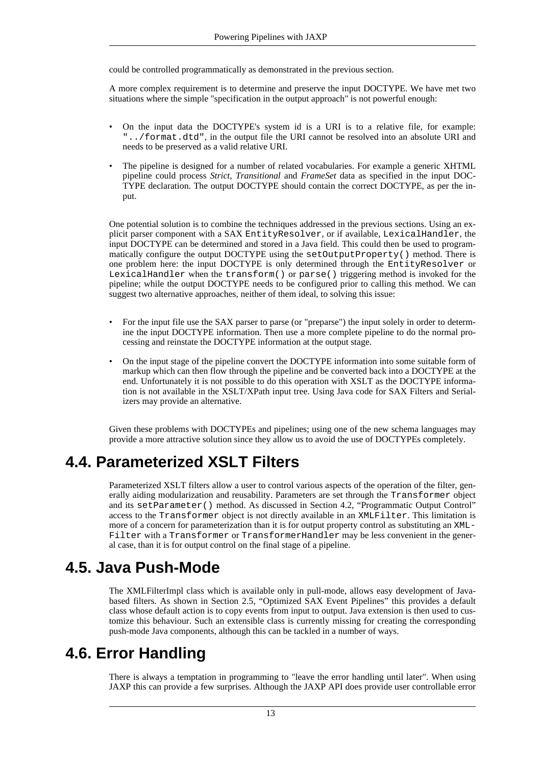could be controlled programmatically as demonstrated in the previous section.

A more complex requirement is to determine and preserve the input DOCTYPE. We have met two situations where the simple "specification in the output approach" is not powerful enough:

- On the input data the DOCTYPE's system id is a URI is to a relative file, for example: "../format.dtd", in the output file the URI cannot be resolved into an absolute URI and needs to be preserved as a valid relative URI.
- The pipeline is designed for a number of related vocabularies. For example a generic XHTML pipeline could process *Strict*, *Transitional* and *FrameSet* data as specified in the input DOC-TYPE declaration. The output DOCTYPE should contain the correct DOCTYPE, as per the input.

One potential solution is to combine the techniques addressed in the previous sections. Using an explicit parser component with a SAX EntityResolver, or if available, LexicalHandler, the input DOCTYPE can be determined and stored in a Java field. This could then be used to programmatically configure the output DOCTYPE using the setOutputProperty() method. There is one problem here: the input DOCTYPE is only determined through the EntityResolver or LexicalHandler when the transform() or parse() triggering method is invoked for the pipeline; while the output DOCTYPE needs to be configured prior to calling this method. We can suggest two alternative approaches, neither of them ideal, to solving this issue:

- For the input file use the SAX parser to parse (or "preparse") the input solely in order to determine the input DOCTYPE information. Then use a more complete pipeline to do the normal processing and reinstate the DOCTYPE information at the output stage.
- On the input stage of the pipeline convert the DOCTYPE information into some suitable form of markup which can then flow through the pipeline and be converted back into a DOCTYPE at the end. Unfortunately it is not possible to do this operation with XSLT as the DOCTYPE information is not available in the XSLT/XPath input tree. Using Java code for SAX Filters and Serializers may provide an alternative.

<span id="page-12-0"></span>Given these problems with DOCTYPEs and pipelines; using one of the new schema languages may provide a more attractive solution since they allow us to avoid the use of DOCTYPEs completely.

### **4.4. Parameterized XSLT Filters**

Parameterized XSLT filters allow a user to control various aspects of the operation of the filter, generally aiding modularization and reusability. Parameters are set through the Transformer object and its setParameter() method. As discussed in S[ection 4.2, "Programmatic Output Control"](#page-11-0) access to the Transformer object is not directly available in an XMLFilter. This limitation is more of a concern for parameterization than it is for output property control as substituting an XML-Filter with a Transformer or TransformerHandler may be less convenient in the general case, than it is for output control on the final stage of a pipeline.

### **4.5. Java Push-Mode**

<span id="page-12-1"></span>The XMLFilterImpl class which is available only in pull-mode, allows easy development of Javabased filters. As shown in S[ection 2.5, "Optimized SAX Event Pipelines"](#page-6-0) this provides a default class whose default action is to copy events from input to output. Java extension is then used to customize this behaviour. Such an extensible class is currently missing for creating the corresponding push-mode Java components, although this can be tackled in a number of ways.

### **4.6. Error Handling**

<span id="page-12-2"></span>There is always a temptation in programming to "leave the error handling until later". When using JAXP this can provide a few surprises. Although the JAXP API does provide user controllable error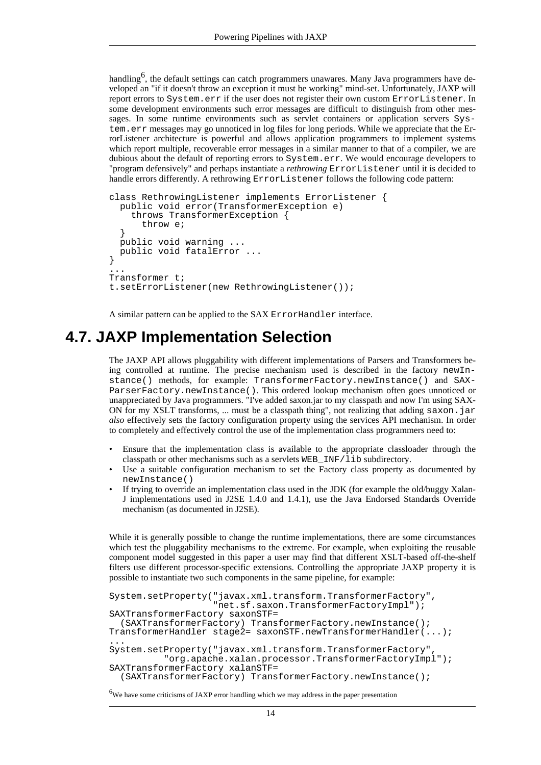handling<sup>6</sup>, the default settings can catch programmers unawares. Many Java programmers have developed an "if it doesn't throw an exception it must be working" mind-set. Unfortunately, JAXP will report errors to System.err if the user does not register their own custom ErrorListener. In some development environments such error messages are difficult to distinguish from other messages. In some runtime environments such as servlet containers or application servers System.err messages may go unnoticed in log files for long periods. While we appreciate that the ErrorListener architecture is powerful and allows application programmers to implement systems which report multiple, recoverable error messages in a similar manner to that of a compiler, we are dubious about the default of reporting errors to System.err. We would encourage developers to "program defensively" and perhaps instantiate a *rethrowing* ErrorListener until it is decided to handle errors differently. A rethrowing ErrorListener follows the following code pattern:

```
class RethrowingListener implements ErrorListener {
  public void error(TransformerException e)
    throws TransformerException {
      throw e;
  }
 public void warning ...
  public void fatalError ...
}
...
Transformer t;
t.setErrorListener(new RethrowingListener());
```
<span id="page-13-0"></span>A similar pattern can be applied to the SAX ErrorHandler interface.

### **4.7. JAXP Implementation Selection**

The JAXP API allows pluggability with different implementations of Parsers and Transformers being controlled at runtime. The precise mechanism used is described in the factory newInstance() methods, for example: TransformerFactory.newInstance() and SAX-ParserFactory.newInstance(). This ordered lookup mechanism often goes unnoticed or unappreciated by Java programmers. "I've added saxon.jar to my classpath and now I'm using SAX-ON for my XSLT transforms, ... must be a classpath thing", not realizing that adding saxon.  $jar$ *also* effectively sets the factory configuration property using the services API mechanism. In order to completely and effectively control the use of the implementation class programmers need to:

- Ensure that the implementation class is available to the appropriate classloader through the classpath or other mechanisms such as a servlets WEB\_INF/lib subdirectory.
- Use a suitable configuration mechanism to set the Factory class property as documented by newInstance()
- If trying to override an implementation class used in the JDK (for example the old/buggy Xalan-J implementations used in J2SE 1.4.0 and 1.4.1), use the Java Endorsed Standards Override mechanism (as documented in J2SE).

While it is generally possible to change the runtime implementations, there are some circumstances which test the pluggability mechanisms to the extreme. For example, when exploiting the reusable component model suggested in this paper a user may find that different XSLT-based off-the-shelf filters use different processor-specific extensions. Controlling the appropriate JAXP property it is possible to instantiate two such components in the same pipeline, for example:

```
System.setProperty("javax.xml.transform.TransformerFactory",
                   "net.sf.saxon.TransformerFactoryImpl");
SAXTransformerFactory saxonSTF=
  (SAXTransformerFactory) TransformerFactory.newInstance();
TransformerHandler stage2= saxonSTF.newTransformerHandler(...);
...
System.setProperty("javax.xml.transform.TransformerFactory",
          "org.apache.xalan.processor.TransformerFactoryImpl");
SAXTransformerFactory xalanSTF=
  (SAXTransformerFactory) TransformerFactory.newInstance();
```
<sup>6</sup>We have some criticisms of JAXP error handling which we may address in the paper presentation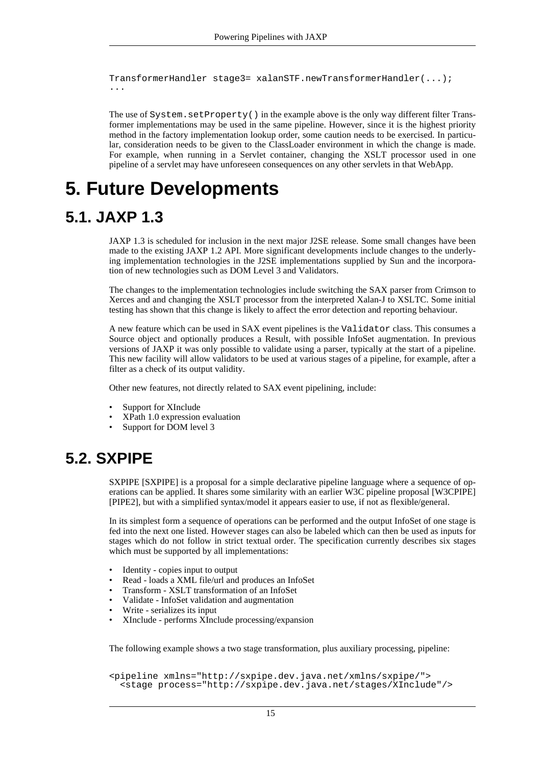```
TransformerHandler stage3= xalanSTF.newTransformerHandler(...);
...
```
The use of System.setProperty() in the example above is the only way different filter Transformer implementations may be used in the same pipeline. However, since it is the highest priority method in the factory implementation lookup order, some caution needs to be exercised. In particular, consideration needs to be given to the ClassLoader environment in which the change is made. For example, when running in a Servlet container, changing the XSLT processor used in one pipeline of a servlet may have unforeseen consequences on any other servlets in that WebApp.

## <span id="page-14-0"></span>**5. Future Developments**

### **5.1. JAXP 1.3**

<span id="page-14-1"></span>JAXP 1.3 is scheduled for inclusion in the next major J2SE release. Some small changes have been made to the existing JAXP 1.2 API. More significant developments include changes to the underlying implementation technologies in the J2SE implementations supplied by Sun and the incorporation of new technologies such as DOM Level 3 and Validators.

The changes to the implementation technologies include switching the SAX parser from Crimson to Xerces and and changing the XSLT processor from the interpreted Xalan-J to XSLTC. Some initial testing has shown that this change is likely to affect the error detection and reporting behaviour.

A new feature which can be used in SAX event pipelines is the Validator class. This consumes a Source object and optionally produces a Result, with possible InfoSet augmentation. In previous versions of JAXP it was only possible to validate using a parser, typically at the start of a pipeline. This new facility will allow validators to be used at various stages of a pipeline, for example, after a filter as a check of its output validity.

Other new features, not directly related to SAX event pipelining, include:

- Support for XInclude
- XPath 1.0 expression evaluation
- <span id="page-14-2"></span>Support for DOM level 3

### **5.2. SXPIPE**

SXPIPE [\[SXPIPE\]](#page-16-8) is a proposal for a simple declarative pipeline language where a sequence of operations can be applied. It shares some similarity with an earlier W3C pipeline proposal [\[W3CPIPE\]](#page-16-9) [\[PIPE2\]](#page-16-10), but with a simplified syntax/model it appears easier to use, if not as flexible/general.

In its simplest form a sequence of operations can be performed and the output InfoSet of one stage is fed into the next one listed. However stages can also be labeled which can then be used as inputs for stages which do not follow in strict textual order. The specification currently describes six stages which must be supported by all implementations:

- Identity copies input to output
- Read loads a XML file/url and produces an InfoSet
- Transform XSLT transformation of an InfoSet
- Validate InfoSet validation and augmentation
- Write serializes its input
- XInclude performs XInclude processing/expansion

The following example shows a two stage transformation, plus auxiliary processing, pipeline:

```
<pipeline xmlns="http://sxpipe.dev.java.net/xmlns/sxpipe/">
  <stage process="http://sxpipe.dev.java.net/stages/XInclude"/>
```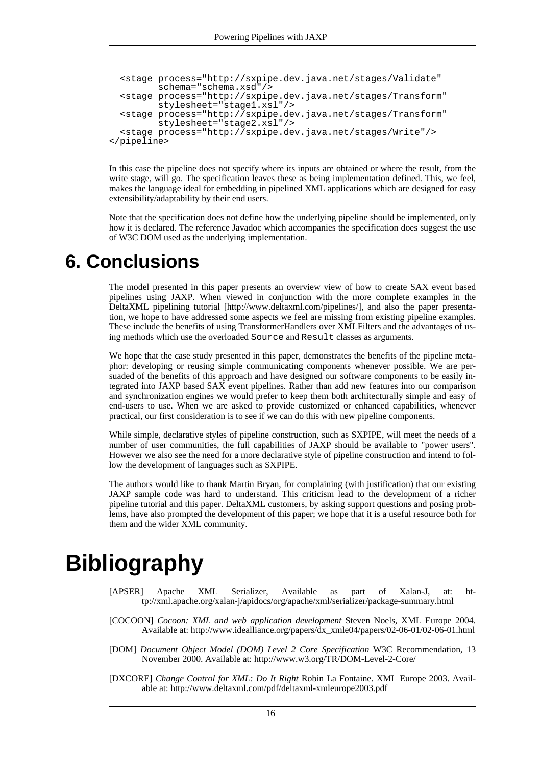```
<stage process="http://sxpipe.dev.java.net/stages/Validate"
        schema="schema.xsd"/>
  <stage process="http://sxpipe.dev.java.net/stages/Transform"
        stylesheet="stage1.xsl"/>
  <stage process="http://sxpipe.dev.java.net/stages/Transform"
        stylesheet="stage2.xsl"/>
  <stage process="http://sxpipe.dev.java.net/stages/Write"/>
</pipeline>
```
In this case the pipeline does not specify where its inputs are obtained or where the result, from the write stage, will go. The specification leaves these as being implementation defined. This, we feel, makes the language ideal for embedding in pipelined XML applications which are designed for easy extensibility/adaptability by their end users.

<span id="page-15-0"></span>Note that the specification does not define how the underlying pipeline should be implemented, only how it is declared. The reference Javadoc which accompanies the specification does suggest the use of W3C DOM used as the underlying implementation.

## **6. Conclusions**

The model presented in this paper presents an overview view of how to create SAX event based pipelines using JAXP. When viewed in conjunction with the more complete examples in the [DeltaXML pipelining tutoria](http://www.deltaxml.com/pipelines/)l [http://www.deltaxml.com/pipelines/], and also the paper presentation, we hope to have addressed some aspects we feel are missing from existing pipeline examples. These include the benefits of using TransformerHandlers over XMLFilters and the advantages of using methods which use the overloaded Source and Result classes as arguments.

We hope that the case study presented in this paper, demonstrates the benefits of the pipeline metaphor: developing or reusing simple communicating components whenever possible. We are persuaded of the benefits of this approach and have designed our software components to be easily integrated into JAXP based SAX event pipelines. Rather than add new features into our comparison and synchronization engines we would prefer to keep them both architecturally simple and easy of end-users to use. When we are asked to provide customized or enhanced capabilities, whenever practical, our first consideration is to see if we can do this with new pipeline components.

While simple, declarative styles of pipeline construction, such as SXPIPE, will meet the needs of a number of user communities, the full capabilities of JAXP should be available to "power users". However we also see the need for a more declarative style of pipeline construction and intend to follow the development of languages such as SXPIPE.

The authors would like to thank Martin Bryan, for complaining (with justification) that our existing JAXP sample code was hard to understand. This criticism lead to the development of a richer pipeline tutorial and this paper. DeltaXML customers, by asking support questions and posing problems, have also prompted the development of this paper; we hope that it is a useful resource both for them and the wider XML community.

# <span id="page-15-1"></span>**Bibliography**

- <span id="page-15-5"></span>[APSER] Apache XML Serializer, Available as part of Xalan-J, at: ht[tp://xml.apache.org/xalan-j/apidocs/org/apache/xml/serializer/package-summary.html](http://xml.apache.org/xalan-j/apidocs/org/apache/xml/serializer/package-summary.html)
- <span id="page-15-3"></span>[COCOON] *Cocoon: XML and web application development* Steven Noels, XML Europe 2004. Available at: [http://www.idealliance.org/papers/dx\\_xmle04/papers/02-06-01/02-06-01.html](http://www.idealliance.org/papers/dx_xmle04/papers/02-06-01/02-06-01.html)
- <span id="page-15-2"></span>[DOM] *Document Object Model (DOM) Level 2 Core Specification* W3C Recommendation, 13 November 2000. Available at:<http://www.w3.org/TR/DOM-Level-2-Core/>
- <span id="page-15-4"></span>[DXCORE] *Change Control for XML: Do It Right* Robin La Fontaine. XML Europe 2003. Available at: [http://www.deltaxml.com/pdf/deltaxml-xmleurope2003.pdf](#page-0-0)